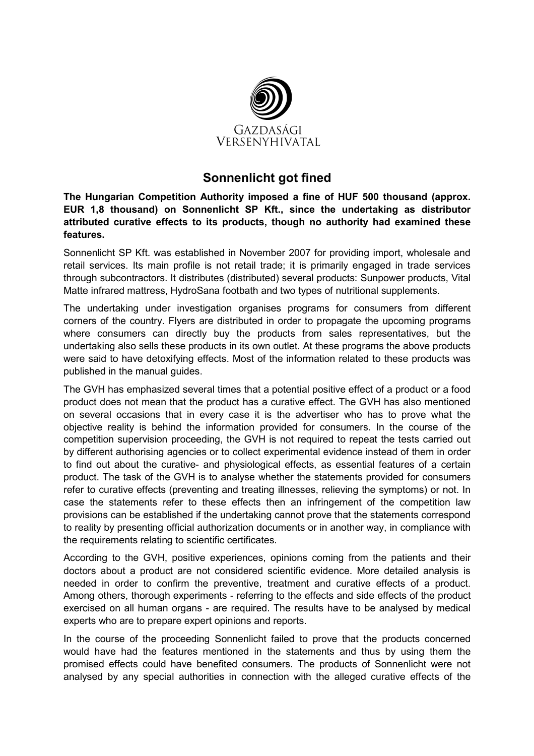

## Sonnenlicht got fined

The Hungarian Competition Authority imposed a fine of HUF 500 thousand (approx. EUR 1,8 thousand) on Sonnenlicht SP Kft., since the undertaking as distributor attributed curative effects to its products, though no authority had examined these features.

Sonnenlicht SP Kft. was established in November 2007 for providing import, wholesale and retail services. Its main profile is not retail trade; it is primarily engaged in trade services through subcontractors. It distributes (distributed) several products: Sunpower products, Vital Matte infrared mattress, HydroSana footbath and two types of nutritional supplements.

The undertaking under investigation organises programs for consumers from different corners of the country. Flyers are distributed in order to propagate the upcoming programs where consumers can directly buy the products from sales representatives, but the undertaking also sells these products in its own outlet. At these programs the above products were said to have detoxifying effects. Most of the information related to these products was published in the manual guides.

The GVH has emphasized several times that a potential positive effect of a product or a food product does not mean that the product has a curative effect. The GVH has also mentioned on several occasions that in every case it is the advertiser who has to prove what the objective reality is behind the information provided for consumers. In the course of the competition supervision proceeding, the GVH is not required to repeat the tests carried out by different authorising agencies or to collect experimental evidence instead of them in order to find out about the curative- and physiological effects, as essential features of a certain product. The task of the GVH is to analyse whether the statements provided for consumers refer to curative effects (preventing and treating illnesses, relieving the symptoms) or not. In case the statements refer to these effects then an infringement of the competition law provisions can be established if the undertaking cannot prove that the statements correspond to reality by presenting official authorization documents or in another way, in compliance with the requirements relating to scientific certificates.

According to the GVH, positive experiences, opinions coming from the patients and their doctors about a product are not considered scientific evidence. More detailed analysis is needed in order to confirm the preventive, treatment and curative effects of a product. Among others, thorough experiments - referring to the effects and side effects of the product exercised on all human organs - are required. The results have to be analysed by medical experts who are to prepare expert opinions and reports.

In the course of the proceeding Sonnenlicht failed to prove that the products concerned would have had the features mentioned in the statements and thus by using them the promised effects could have benefited consumers. The products of Sonnenlicht were not analysed by any special authorities in connection with the alleged curative effects of the